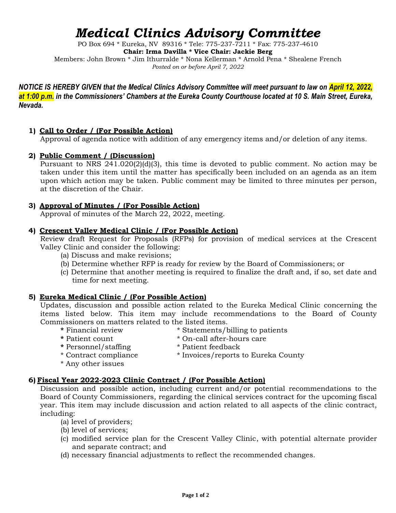# *Medical Clinics Advisory Committee*

PO Box 694 \* Eureka, NV 89316 \* Tele: 775-237-7211 \* Fax: 775-237-4610 **Chair: Irma Davilla \* Vice Chair: Jackie Berg** Members: John Brown \* Jim Ithurralde \* Nona Kellerman \* Arnold Pena \* Shealene French *Posted on or before April 7, 2022*

*NOTICE IS HEREBY GIVEN that the Medical Clinics Advisory Committee will meet pursuant to law on April 12, 2022,*  at 1:00 p.m. in the Commissioners' Chambers at the Eureka County Courthouse located at 10 S. Main Street, Eureka, *Nevada.*

## **1) Call to Order / (For Possible Action)**

Approval of agenda notice with addition of any emergency items and/or deletion of any items.

## **2) Public Comment / (Discussion)**

Pursuant to NRS 241.020(2)(d)(3), this time is devoted to public comment. No action may be taken under this item until the matter has specifically been included on an agenda as an item upon which action may be taken. Public comment may be limited to three minutes per person, at the discretion of the Chair.

## **3) Approval of Minutes / (For Possible Action)**

Approval of minutes of the March 22, 2022, meeting.

## **4) Crescent Valley Medical Clinic / (For Possible Action)**

Review draft Request for Proposals (RFPs) for provision of medical services at the Crescent Valley Clinic and consider the following:

- (a) Discuss and make revisions;
- (b) Determine whether RFP is ready for review by the Board of Commissioners; or
- (c) Determine that another meeting is required to finalize the draft and, if so, set date and time for next meeting.

## **5) Eureka Medical Clinic / (For Possible Action)**

Updates, discussion and possible action related to the Eureka Medical Clinic concerning the items listed below. This item may include recommendations to the Board of County Commissioners on matters related to the listed items.

- **\*** Financial review \* Statements/billing to patients
	-
- **\*** Personnel/staffing
- \* Patient count \*  $\alpha$  \* On-call after-hours care<br>\* Personnel/staffing \* \* Patient feedback
- 
- \* Contract compliance \* Invoices/reports to Eureka County
- \* Any other issues

## **6) Fiscal Year 2022-2023 Clinic Contract / (For Possible Action)**

Discussion and possible action, including current and/or potential recommendations to the Board of County Commissioners, regarding the clinical services contract for the upcoming fiscal year. This item may include discussion and action related to all aspects of the clinic contract, including:

- (a) level of providers;
- (b) level of services;
- (c) modified service plan for the Crescent Valley Clinic, with potential alternate provider and separate contract; and
- (d) necessary financial adjustments to reflect the recommended changes.